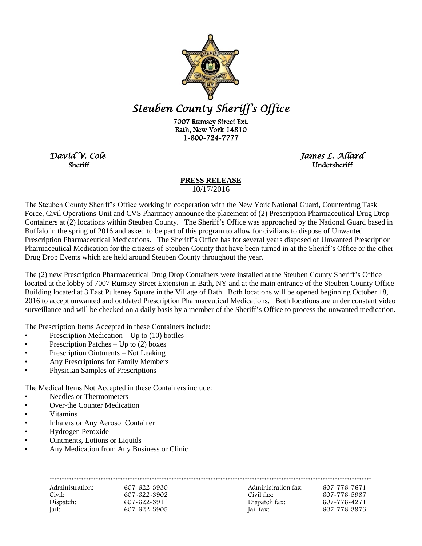

## *Steuben County Sheriff's Office*

 7007 Rumsey Street Ext. Bath, New York 14810 1-800-724-7777

**Sheriff** *Undersheriff* 

*David V. Cole James L. Allard* 

## **PRESS RELEASE**

10/17/2016

The Steuben County Sheriff's Office working in cooperation with the New York National Guard, Counterdrug Task Force, Civil Operations Unit and CVS Pharmacy announce the placement of (2) Prescription Pharmaceutical Drug Drop Containers at (2) locations within Steuben County. The Sheriff's Office was approached by the National Guard based in Buffalo in the spring of 2016 and asked to be part of this program to allow for civilians to dispose of Unwanted Prescription Pharmaceutical Medications. The Sheriff's Office has for several years disposed of Unwanted Prescription Pharmaceutical Medication for the citizens of Steuben County that have been turned in at the Sheriff's Office or the other Drug Drop Events which are held around Steuben County throughout the year.

The (2) new Prescription Pharmaceutical Drug Drop Containers were installed at the Steuben County Sheriff's Office located at the lobby of 7007 Rumsey Street Extension in Bath, NY and at the main entrance of the Steuben County Office Building located at 3 East Pulteney Square in the Village of Bath. Both locations will be opened beginning October 18, 2016 to accept unwanted and outdated Prescription Pharmaceutical Medications. Both locations are under constant video surveillance and will be checked on a daily basis by a member of the Sheriff's Office to process the unwanted medication.

The Prescription Items Accepted in these Containers include:

- Prescription Medication Up to (10) bottles
- Prescription Patches Up to (2) boxes
- Prescription Ointments Not Leaking
- Any Prescriptions for Family Members
- Physician Samples of Prescriptions

The Medical Items Not Accepted in these Containers include:

- Needles or Thermometers
- Over-the Counter Medication
- Vitamins
- Inhalers or Any Aerosol Container
- Hydrogen Peroxide
- Ointments, Lotions or Liquids
- Any Medication from Any Business or Clinic

| Administration: | 607-622-3930 | Administration fax: | 607-776-7671 |
|-----------------|--------------|---------------------|--------------|
| Civil:          | 607-622-3902 | Civil fax:          | 607-776-5987 |
| Dispatch:       | 607-622-3911 | Dispatch fax:       | 607-776-4271 |
| Jail:           | 607-622-3905 | Jail fax:           | 607-776-3973 |